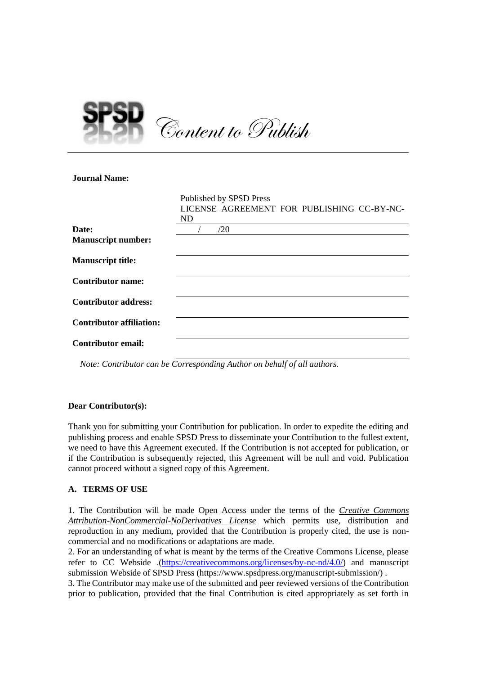

**Journal Name:**

|                                 | Published by SPSD Press                    |
|---------------------------------|--------------------------------------------|
|                                 | LICENSE AGREEMENT FOR PUBLISHING CC-BY-NC- |
|                                 | ND                                         |
| Date:                           | /20                                        |
| <b>Manuscript number:</b>       |                                            |
| <b>Manuscript title:</b>        |                                            |
| <b>Contributor name:</b>        |                                            |
| <b>Contributor address:</b>     |                                            |
| <b>Contributor affiliation:</b> |                                            |
| <b>Contributor email:</b>       |                                            |
|                                 |                                            |

*Note: Contributor can be Corresponding Author on behalf of all authors.*

# **Dear Contributor(s):**

Thank you for submitting your Contribution for publication. In order to expedite the editing and publishing process and enable SPSD Press to disseminate your Contribution to the fullest extent, we need to have this Agreement executed. If the Contribution is not accepted for publication, or if the Contribution is subsequently rejected, this Agreement will be null and void. Publication cannot proceed without a signed copy of this Agreement.

# **A. TERMS OF USE**

1. The Contribution will be made Open Access under the terms of the *Creative Commons Attribution-NonCommercial-NoDerivatives License* which permits use, distribution and reproduction in any medium, provided that the Contribution is properly cited, the use is noncommercial and no modifications or adaptations are made.

2. For an understanding of what is meant by the terms of the Creative Commons License, please refer to CC Webside .[\(https://creativecommons.org/licenses/by-nc-nd/4.0/\)](https://creativecommons.org/licenses/by-nc-nd/4.0/) and manuscript submission Webside of SPSD Press (https://www.spsdpress.org/manuscript-submission/) .

3. The Contributor may make use of the submitted and peer reviewed versions of the Contribution prior to publication, provided that the final Contribution is cited appropriately as set forth in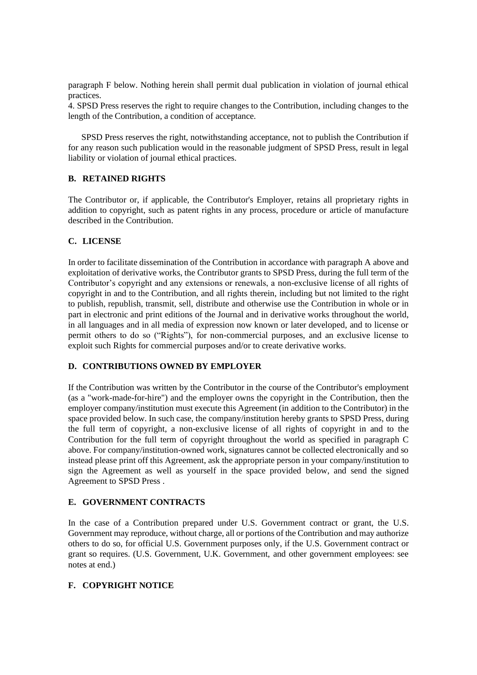paragraph F below. Nothing herein shall permit dual publication in violation of journal ethical practices.

4. SPSD Press reserves the right to require changes to the Contribution, including changes to the length of the Contribution, a condition of acceptance.

SPSD Press reserves the right, notwithstanding acceptance, not to publish the Contribution if for any reason such publication would in the reasonable judgment of SPSD Press, result in legal liability or violation of journal ethical practices.

### **B. RETAINED RIGHTS**

The Contributor or, if applicable, the Contributor's Employer, retains all proprietary rights in addition to copyright, such as patent rights in any process, procedure or article of manufacture described in the Contribution.

### **C. LICENSE**

In order to facilitate dissemination of the Contribution in accordance with paragraph A above and exploitation of derivative works, the Contributor grants to SPSD Press, during the full term of the Contributor's copyright and any extensions or renewals, a non-exclusive license of all rights of copyright in and to the Contribution, and all rights therein, including but not limited to the right to publish, republish, transmit, sell, distribute and otherwise use the Contribution in whole or in part in electronic and print editions of the Journal and in derivative works throughout the world, in all languages and in all media of expression now known or later developed, and to license or permit others to do so ("Rights"), for non-commercial purposes, and an exclusive license to exploit such Rights for commercial purposes and/or to create derivative works.

#### **D. CONTRIBUTIONS OWNED BY EMPLOYER**

If the Contribution was written by the Contributor in the course of the Contributor's employment (as a "work-made-for-hire") and the employer owns the copyright in the Contribution, then the employer company/institution must execute this Agreement (in addition to the Contributor) in the space provided below. In such case, the company/institution hereby grants to SPSD Press, during the full term of copyright, a non-exclusive license of all rights of copyright in and to the Contribution for the full term of copyright throughout the world as specified in paragraph C above. For company/institution-owned work, signatures cannot be collected electronically and so instead please print off this Agreement, ask the appropriate person in your company/institution to sign the Agreement as well as yourself in the space provided below, and send the signed Agreement to SPSD Press .

# **E. GOVERNMENT CONTRACTS**

In the case of a Contribution prepared under U.S. Government contract or grant, the U.S. Government may reproduce, without charge, all or portions of the Contribution and may authorize others to do so, for official U.S. Government purposes only, if the U.S. Government contract or grant so requires. (U.S. Government, U.K. Government, and other government employees: see notes at end.)

# **F. COPYRIGHT NOTICE**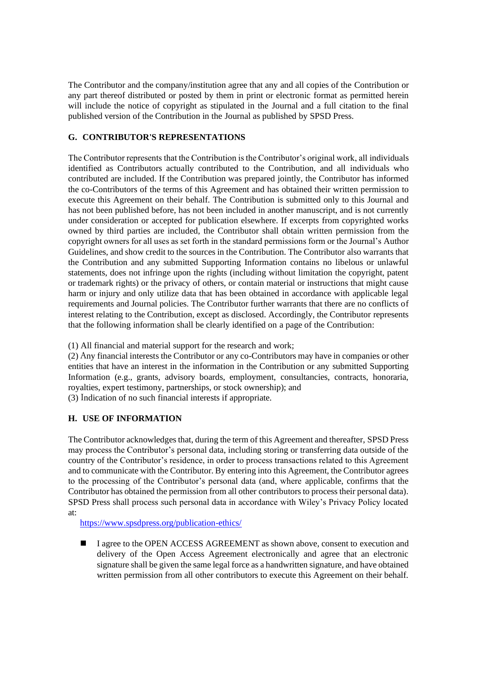The Contributor and the company/institution agree that any and all copies of the Contribution or any part thereof distributed or posted by them in print or electronic format as permitted herein will include the notice of copyright as stipulated in the Journal and a full citation to the final published version of the Contribution in the Journal as published by SPSD Press.

# **G. CONTRIBUTOR'S REPRESENTATIONS**

The Contributor represents that the Contribution is the Contributor's original work, all individuals identified as Contributors actually contributed to the Contribution, and all individuals who contributed are included. If the Contribution was prepared jointly, the Contributor has informed the co-Contributors of the terms of this Agreement and has obtained their written permission to execute this Agreement on their behalf. The Contribution is submitted only to this Journal and has not been published before, has not been included in another manuscript, and is not currently under consideration or accepted for publication elsewhere. If excerpts from copyrighted works owned by third parties are included, the Contributor shall obtain written permission from the copyright owners for all uses as set forth in the standard permissions form or the Journal's Author Guidelines, and show credit to the sources in the Contribution. The Contributor also warrants that the Contribution and any submitted Supporting Information contains no libelous or unlawful statements, does not infringe upon the rights (including without limitation the copyright, patent or trademark rights) or the privacy of others, or contain material or instructions that might cause harm or injury and only utilize data that has been obtained in accordance with applicable legal requirements and Journal policies. The Contributor further warrants that there are no conflicts of interest relating to the Contribution, except as disclosed. Accordingly, the Contributor represents that the following information shall be clearly identified on a page of the Contribution:

(1) All financial and material support for the research and work;

(2) Any financial interests the Contributor or any co-Contributors may have in companies or other entities that have an interest in the information in the Contribution or any submitted Supporting Information (e.g., grants, advisory boards, employment, consultancies, contracts, honoraria, royalties, expert testimony, partnerships, or stock ownership); and

(3) Indication of no such financial interests if appropriate.

# **H. USE OF INFORMATION**

The Contributor acknowledges that, during the term of this Agreement and thereafter, SPSD Press may process the Contributor's personal data, including storing or transferring data outside of the country of the Contributor's residence, in order to process transactions related to this Agreement and to communicate with the Contributor. By entering into this Agreement, the Contributor agrees to the processing of the Contributor's personal data (and, where applicable, confirms that the Contributor has obtained the permission from all other contributors to process their personal data). SPSD Press shall process such personal data in accordance with Wiley's Privacy Policy located at:

<https://www.spsdpress.org/publication-ethics/>

■ I agree to the OPEN ACCESS AGREEMENT as shown above, consent to execution and delivery of the Open Access Agreement electronically and agree that an electronic signature shall be given the same legal force as a handwritten signature, and have obtained written permission from all other contributors to execute this Agreement on their behalf.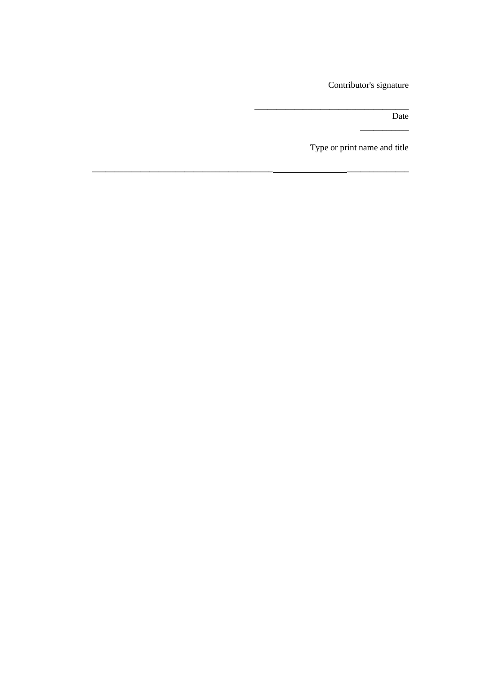Contributor's signature

Date

\_\_\_\_\_\_\_\_\_\_\_

Type or print name and title

\_\_\_\_\_\_\_\_\_\_\_\_\_\_\_\_\_\_\_\_\_\_\_\_\_\_\_\_\_\_\_\_\_\_\_

\_\_\_\_\_\_\_\_\_\_\_\_\_\_\_\_\_\_\_\_\_\_\_\_\_\_\_\_\_\_\_\_\_\_\_\_\_\_\_\_\_ \_\_\_\_\_\_\_\_\_\_\_\_\_\_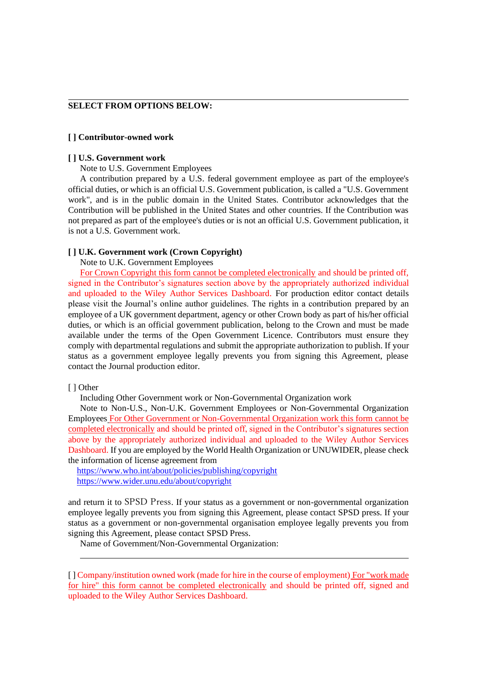#### **SELECT FROM OPTIONS BELOW:**

#### **[ ] Contributor-owned work**

#### **[ ] U.S. Government work**

l

Note to U.S. Government Employees

A contribution prepared by a U.S. federal government employee as part of the employee's official duties, or which is an official U.S. Government publication, is called a "U.S. Government work", and is in the public domain in the United States. Contributor acknowledges that the Contribution will be published in the United States and other countries. If the Contribution was not prepared as part of the employee's duties or is not an official U.S. Government publication, it is not a U.S. Government work.

#### **[ ] U.K. Government work (Crown Copyright)**

Note to U.K. Government Employees

For Crown Copyright this form cannot be completed electronically and should be printed off, signed in the Contributor's signatures section above by the appropriately authorized individual and uploaded to the Wiley Author Services Dashboard. For production editor contact details please visit the Journal's online author guidelines. The rights in a contribution prepared by an employee of a UK government department, agency or other Crown body as part of his/her official duties, or which is an official government publication, belong to the Crown and must be made available under the terms of the Open Government Licence. Contributors must ensure they comply with departmental regulations and submit the appropriate authorization to publish. If your status as a government employee legally prevents you from signing this Agreement, please contact the Journal production editor.

#### [ ] Other

l

Including Other Government work or Non-Governmental Organization work

Note to Non-U.S., Non-U.K. Government Employees or Non-Governmental Organization Employees For Other Government or Non-Governmental Organization work this form cannot be completed electronically and should be printed off, signed in the Contributor's signatures section above by the appropriately authorized individual and uploaded to the Wiley Author Services Dashboard. If you are employed by the World Health Organization or UNUWIDER, please check the information of license agreement from

<https://www.who.int/about/policies/publishing/copyright> <https://www.wider.unu.edu/about/copyright>

and return it to SPSD Press. If your status as a government or non-governmental organization employee legally prevents you from signing this Agreement, please contact SPSD press. If your status as a government or non-governmental organisation employee legally prevents you from signing this Agreement, please contact SPSD Press.

Name of Government/Non-Governmental Organization:

[ ] Company/institution owned work (made for hire in the course of employment) For "work made for hire" this form cannot be completed electronically and should be printed off, signed and uploaded to the Wiley Author Services Dashboard.